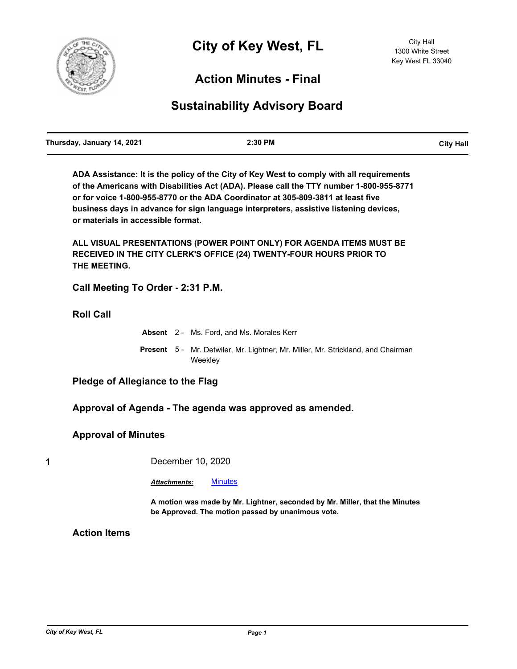

## **Action Minutes - Final**

# **Sustainability Advisory Board**

**ADA Assistance: It is the policy of the City of Key West to comply with all requirements of the Americans with Disabilities Act (ADA). Please call the TTY number 1-800-955-8771 or for voice 1-800-955-8770 or the ADA Coordinator at 305-809-3811 at least five business days in advance for sign language interpreters, assistive listening devices, or materials in accessible format.**

**ALL VISUAL PRESENTATIONS (POWER POINT ONLY) FOR AGENDA ITEMS MUST BE RECEIVED IN THE CITY CLERK'S OFFICE (24) TWENTY-FOUR HOURS PRIOR TO THE MEETING.**

**Call Meeting To Order - 2:31 P.M.**

**Roll Call**

**Absent** 2 - Ms. Ford, and Ms. Morales Kerr Present 5 - Mr. Detwiler, Mr. Lightner, Mr. Miller, Mr. Strickland, and Chairman Weekley

**Pledge of Allegiance to the Flag**

**Approval of Agenda - The agenda was approved as amended.**

#### **Approval of Minutes**

**1** December 10, 2020

*Attachments:* [Minutes](http://KeyWest.legistar.com/gateway.aspx?M=F&ID=c06c8c41-e78c-479c-8b1c-e4d8390a8b08.pdf)

**A motion was made by Mr. Lightner, seconded by Mr. Miller, that the Minutes be Approved. The motion passed by unanimous vote.**

**Action Items**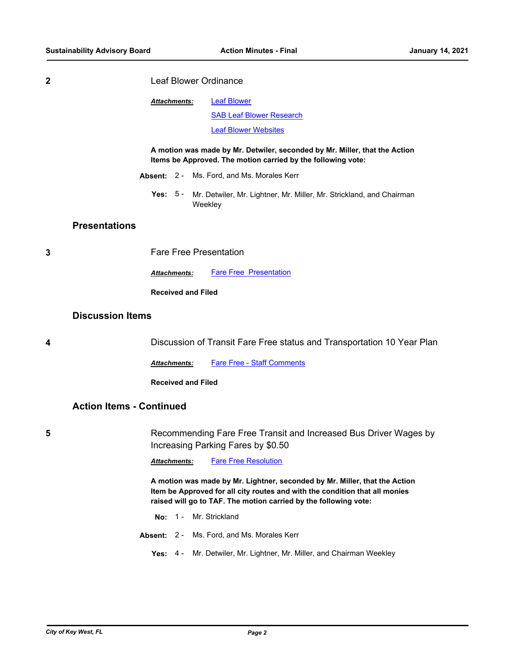| <b>Leaf Blower Ordinance</b> |
|------------------------------|
|                              |

| Attachments: | <b>Leaf Blower</b>              |  |
|--------------|---------------------------------|--|
|              | <b>SAB Leaf Blower Research</b> |  |
|              | <b>Leaf Blower Websites</b>     |  |

**A motion was made by Mr. Detwiler, seconded by Mr. Miller, that the Action Items be Approved. The motion carried by the following vote:**

- **Absent:** 2 Ms. Ford, and Ms. Morales Kerr
	- Yes: 5 Mr. Detwiler, Mr. Lightner, Mr. Miller, Mr. Strickland, and Chairman **Weekley**

#### **Presentations**

**3** Fare Free Presentation

**Attachments:** [Fare Free Presentation](http://KeyWest.legistar.com/gateway.aspx?M=F&ID=35acfac1-925f-4b82-bba1-d73a31c1dae5.pdf)

**Received and Filed**

## **Discussion Items**

**4** Discussion of Transit Fare Free status and Transportation 10 Year Plan

Attachments: [Fare Free - Staff Comments](http://KeyWest.legistar.com/gateway.aspx?M=F&ID=c36cd7f1-81c7-4df5-b76e-7c87a51e0062.pdf)

**Received and Filed**

## **Action Items - Continued**

**5** Recommending Fare Free Transit and Increased Bus Driver Wages by Increasing Parking Fares by \$0.50

*Attachments:* [Fare Free Resolution](http://KeyWest.legistar.com/gateway.aspx?M=F&ID=0de63a36-162d-4421-a526-5bc5768a522d.pdf)

**A motion was made by Mr. Lightner, seconded by Mr. Miller, that the Action Item be Approved for all city routes and with the condition that all monies raised will go to TAF. The motion carried by the following vote:**

- **No:** 1 Mr. Strickland
- **Absent:** 2 Ms. Ford, and Ms. Morales Kerr
	- **Yes:** 4 Mr. Detwiler, Mr. Lightner, Mr. Miller, and Chairman Weekley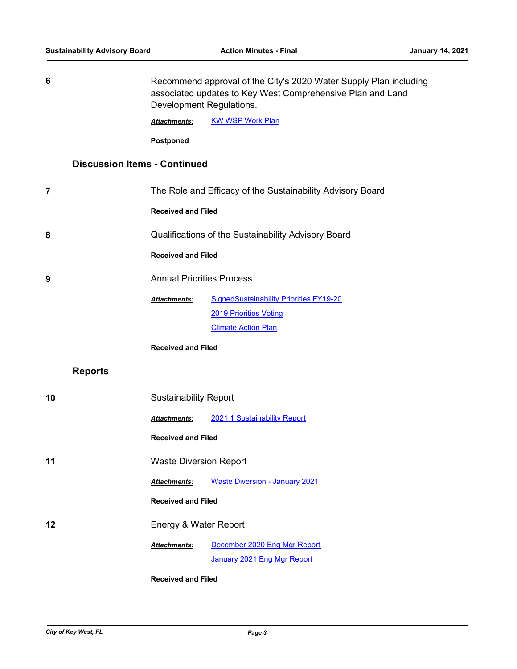| 6  |                                     | Recommend approval of the City's 2020 Water Supply Plan including<br>associated updates to Key West Comprehensive Plan and Land<br>Development Regulations. |                                                             |
|----|-------------------------------------|-------------------------------------------------------------------------------------------------------------------------------------------------------------|-------------------------------------------------------------|
|    |                                     | <b>Attachments:</b>                                                                                                                                         | <b>KW WSP Work Plan</b>                                     |
|    |                                     | Postponed                                                                                                                                                   |                                                             |
|    | <b>Discussion Items - Continued</b> |                                                                                                                                                             |                                                             |
| 7  |                                     | The Role and Efficacy of the Sustainability Advisory Board                                                                                                  |                                                             |
|    |                                     | <b>Received and Filed</b>                                                                                                                                   |                                                             |
| 8  |                                     |                                                                                                                                                             | Qualifications of the Sustainability Advisory Board         |
|    |                                     | <b>Received and Filed</b>                                                                                                                                   |                                                             |
| 9  |                                     | <b>Annual Priorities Process</b>                                                                                                                            |                                                             |
|    |                                     | <b>Attachments:</b>                                                                                                                                         | <b>SignedSustainability Priorities FY19-20</b>              |
|    |                                     |                                                                                                                                                             | 2019 Priorities Voting                                      |
|    |                                     |                                                                                                                                                             | <b>Climate Action Plan</b>                                  |
|    |                                     | <b>Received and Filed</b>                                                                                                                                   |                                                             |
|    | <b>Reports</b>                      |                                                                                                                                                             |                                                             |
| 10 |                                     | <b>Sustainability Report</b>                                                                                                                                |                                                             |
|    |                                     | <b>Attachments:</b>                                                                                                                                         | 2021 1 Sustainability Report                                |
|    |                                     | <b>Received and Filed</b>                                                                                                                                   |                                                             |
| 11 |                                     | <b>Waste Diversion Report</b>                                                                                                                               |                                                             |
|    |                                     | Attachments:                                                                                                                                                | <b>Waste Diversion - January 2021</b>                       |
|    |                                     | <b>Received and Filed</b>                                                                                                                                   |                                                             |
| 12 |                                     | Energy & Water Report                                                                                                                                       |                                                             |
|    |                                     | <b>Attachments:</b>                                                                                                                                         | December 2020 Eng Mgr Report<br>January 2021 Eng Mgr Report |
|    |                                     |                                                                                                                                                             |                                                             |

**Received and Filed**